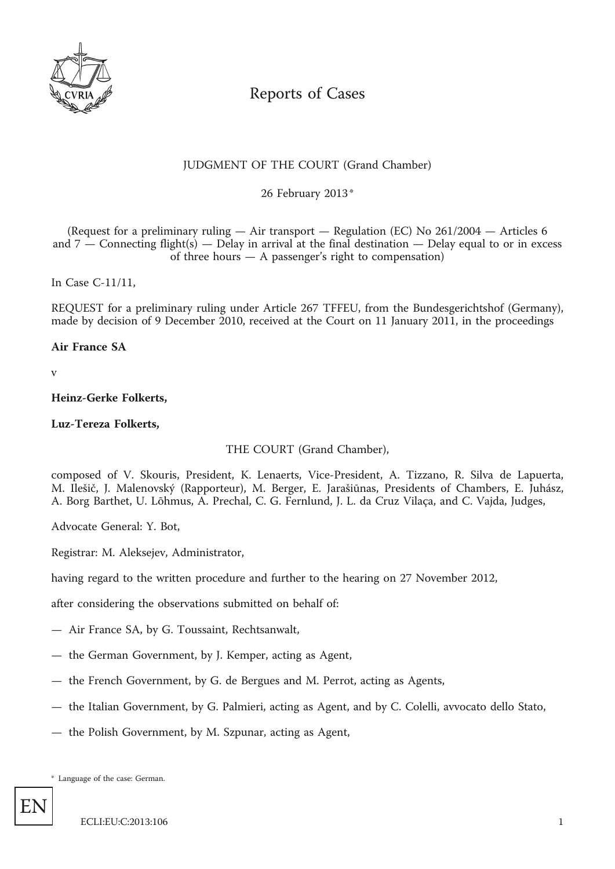

# Reports of Cases

# JUDGMENT OF THE COURT (Grand Chamber)

\* 26 February 2013

(Request for a preliminary ruling — Air transport — Regulation (EC) No 261/2004 — Articles 6 and  $7$  — Connecting flight(s) — Delay in arrival at the final destination — Delay equal to or in excess of three hours — A passenger's right to compensation)

In Case C-11/11,

REQUEST for a preliminary ruling under Article 267 TFFEU, from the Bundesgerichtshof (Germany), made by decision of 9 December 2010, received at the Court on 11 January 2011, in the proceedings

# **Air France SA**

v

# **Heinz-Gerke Folkerts,**

# **Luz-Tereza Folkerts,**

THE COURT (Grand Chamber),

composed of V. Skouris, President, K. Lenaerts, Vice-President, A. Tizzano, R. Silva de Lapuerta, M. Ilešič, J. Malenovský (Rapporteur), M. Berger, E. Jarašiūnas, Presidents of Chambers, E. Juhász, A. Borg Barthet, U. Lõhmus, A. Prechal, C. G. Fernlund, J. L. da Cruz Vilaça, and C. Vajda, Judges,

Advocate General: Y. Bot,

Registrar: M. Aleksejev, Administrator,

having regard to the written procedure and further to the hearing on 27 November 2012,

after considering the observations submitted on behalf of:

- Air France SA, by G. Toussaint, Rechtsanwalt,
- the German Government, by J. Kemper, acting as Agent,
- the French Government, by G. de Bergues and M. Perrot, acting as Agents,
- the Italian Government, by G. Palmieri, acting as Agent, and by C. Colelli, avvocato dello Stato,
- the Polish Government, by M. Szpunar, acting as Agent,

\* Language of the case: German.

EN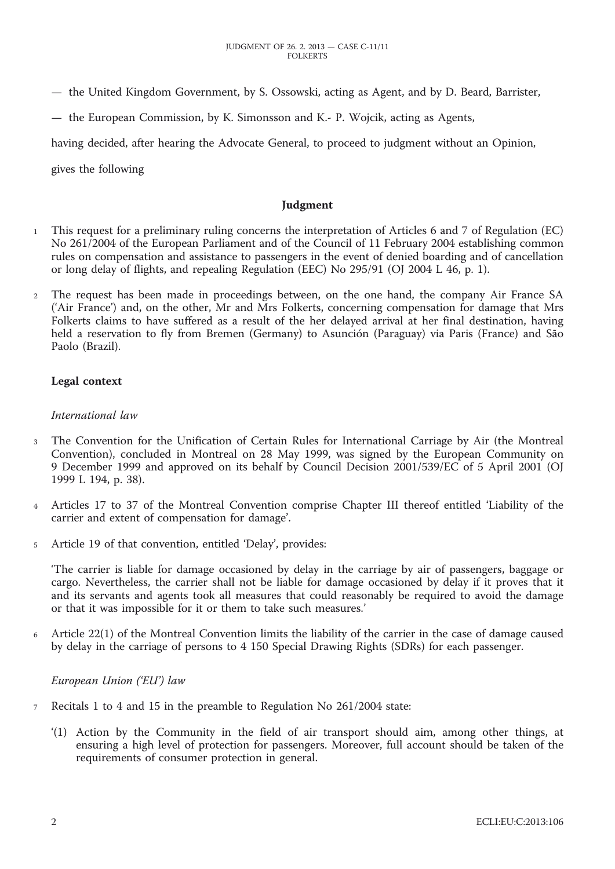- the United Kingdom Government, by S. Ossowski, acting as Agent, and by D. Beard, Barrister,
- the European Commission, by K. Simonsson and K.- P. Wojcik, acting as Agents,

having decided, after hearing the Advocate General, to proceed to judgment without an Opinion,

gives the following

#### **Judgment**

- 1 This request for a preliminary ruling concerns the interpretation of Articles 6 and 7 of Regulation (EC) No 261/2004 of the European Parliament and of the Council of 11 February 2004 establishing common rules on compensation and assistance to passengers in the event of denied boarding and of cancellation or long delay of flights, and repealing Regulation (EEC) No 295/91 (OJ 2004 L 46, p. 1).
- 2 The request has been made in proceedings between, on the one hand, the company Air France SA ('Air France') and, on the other, Mr and Mrs Folkerts, concerning compensation for damage that Mrs Folkerts claims to have suffered as a result of the her delayed arrival at her final destination, having held a reservation to fly from Bremen (Germany) to Asunción (Paraguay) via Paris (France) and São Paolo (Brazil).

# **Legal context**

#### *International law*

- 3 The Convention for the Unification of Certain Rules for International Carriage by Air (the Montreal Convention), concluded in Montreal on 28 May 1999, was signed by the European Community on 9 December 1999 and approved on its behalf by Council Decision 2001/539/EC of 5 April 2001 (OJ 1999 L 194, p. 38).
- 4 Articles 17 to 37 of the Montreal Convention comprise Chapter III thereof entitled 'Liability of the carrier and extent of compensation for damage'.
- 5 Article 19 of that convention, entitled 'Delay', provides:

'The carrier is liable for damage occasioned by delay in the carriage by air of passengers, baggage or cargo. Nevertheless, the carrier shall not be liable for damage occasioned by delay if it proves that it and its servants and agents took all measures that could reasonably be required to avoid the damage or that it was impossible for it or them to take such measures.'

6 Article 22(1) of the Montreal Convention limits the liability of the carrier in the case of damage caused by delay in the carriage of persons to 4 150 Special Drawing Rights (SDRs) for each passenger.

*European Union ('EU') law*

- 7 Recitals 1 to 4 and 15 in the preamble to Regulation No 261/2004 state:
	- '(1) Action by the Community in the field of air transport should aim, among other things, at ensuring a high level of protection for passengers. Moreover, full account should be taken of the requirements of consumer protection in general.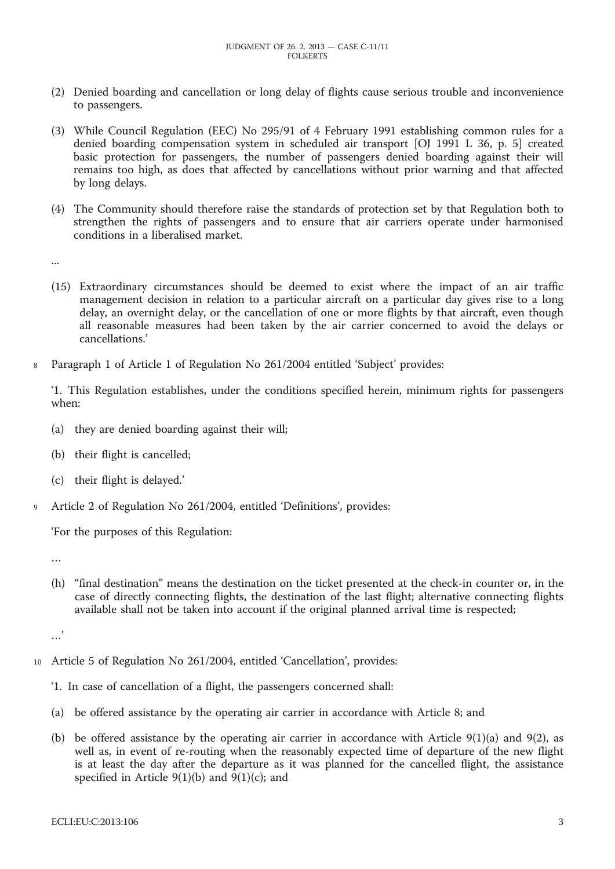- (2) Denied boarding and cancellation or long delay of flights cause serious trouble and inconvenience to passengers.
- (3) While Council Regulation (EEC) No 295/91 of 4 February 1991 establishing common rules for a denied boarding compensation system in scheduled air transport [OJ 1991 L 36, p. 5] created basic protection for passengers, the number of passengers denied boarding against their will remains too high, as does that affected by cancellations without prior warning and that affected by long delays.
- (4) The Community should therefore raise the standards of protection set by that Regulation both to strengthen the rights of passengers and to ensure that air carriers operate under harmonised conditions in a liberalised market.

...

- (15) Extraordinary circumstances should be deemed to exist where the impact of an air traffic management decision in relation to a particular aircraft on a particular day gives rise to a long delay, an overnight delay, or the cancellation of one or more flights by that aircraft, even though all reasonable measures had been taken by the air carrier concerned to avoid the delays or cancellations.'
- 8 Paragraph 1 of Article 1 of Regulation No 261/2004 entitled 'Subject' provides:

'1. This Regulation establishes, under the conditions specified herein, minimum rights for passengers when:

- (a) they are denied boarding against their will;
- (b) their flight is cancelled;
- (c) their flight is delayed.'
- Article 2 of Regulation No 261/2004, entitled 'Definitions', provides:

'For the purposes of this Regulation:

…

(h) "final destination" means the destination on the ticket presented at the check-in counter or, in the case of directly connecting flights, the destination of the last flight; alternative connecting flights available shall not be taken into account if the original planned arrival time is respected;

…'

- 10 Article 5 of Regulation No 261/2004, entitled 'Cancellation', provides:
	- '1. In case of cancellation of a flight, the passengers concerned shall:
	- (a) be offered assistance by the operating air carrier in accordance with Article 8; and
	- (b) be offered assistance by the operating air carrier in accordance with Article 9(1)(a) and 9(2), as well as, in event of re-routing when the reasonably expected time of departure of the new flight is at least the day after the departure as it was planned for the cancelled flight, the assistance specified in Article  $9(1)(b)$  and  $9(1)(c)$ ; and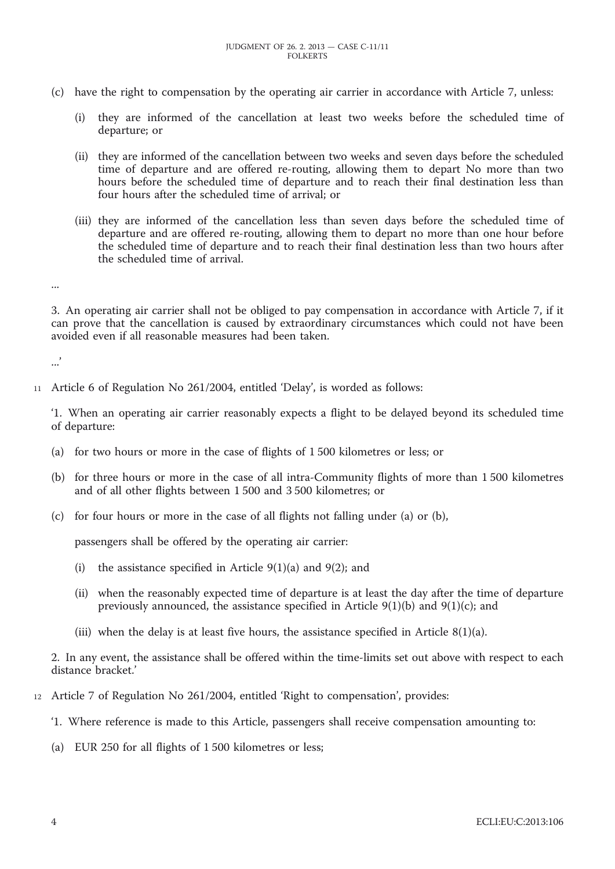- (c) have the right to compensation by the operating air carrier in accordance with Article 7, unless:
	- (i) they are informed of the cancellation at least two weeks before the scheduled time of departure; or
	- (ii) they are informed of the cancellation between two weeks and seven days before the scheduled time of departure and are offered re-routing, allowing them to depart No more than two hours before the scheduled time of departure and to reach their final destination less than four hours after the scheduled time of arrival; or
	- (iii) they are informed of the cancellation less than seven days before the scheduled time of departure and are offered re-routing, allowing them to depart no more than one hour before the scheduled time of departure and to reach their final destination less than two hours after the scheduled time of arrival.

3. An operating air carrier shall not be obliged to pay compensation in accordance with Article 7, if it can prove that the cancellation is caused by extraordinary circumstances which could not have been avoided even if all reasonable measures had been taken.

.<br>...

...

11 Article 6 of Regulation No 261/2004, entitled 'Delay', is worded as follows:

'1. When an operating air carrier reasonably expects a flight to be delayed beyond its scheduled time of departure:

- (a) for two hours or more in the case of flights of 1 500 kilometres or less; or
- (b) for three hours or more in the case of all intra-Community flights of more than 1 500 kilometres and of all other flights between 1 500 and 3 500 kilometres; or
- (c) for four hours or more in the case of all flights not falling under (a) or (b),

passengers shall be offered by the operating air carrier:

- (i) the assistance specified in Article  $9(1)(a)$  and  $9(2)$ ; and
- (ii) when the reasonably expected time of departure is at least the day after the time of departure previously announced, the assistance specified in Article  $9(1)(b)$  and  $9(1)(c)$ ; and
- (iii) when the delay is at least five hours, the assistance specified in Article  $8(1)(a)$ .

2. In any event, the assistance shall be offered within the time-limits set out above with respect to each distance bracket.'

- 12 Article 7 of Regulation No 261/2004, entitled 'Right to compensation', provides:
	- '1. Where reference is made to this Article, passengers shall receive compensation amounting to:
	- (a) EUR 250 for all flights of 1 500 kilometres or less;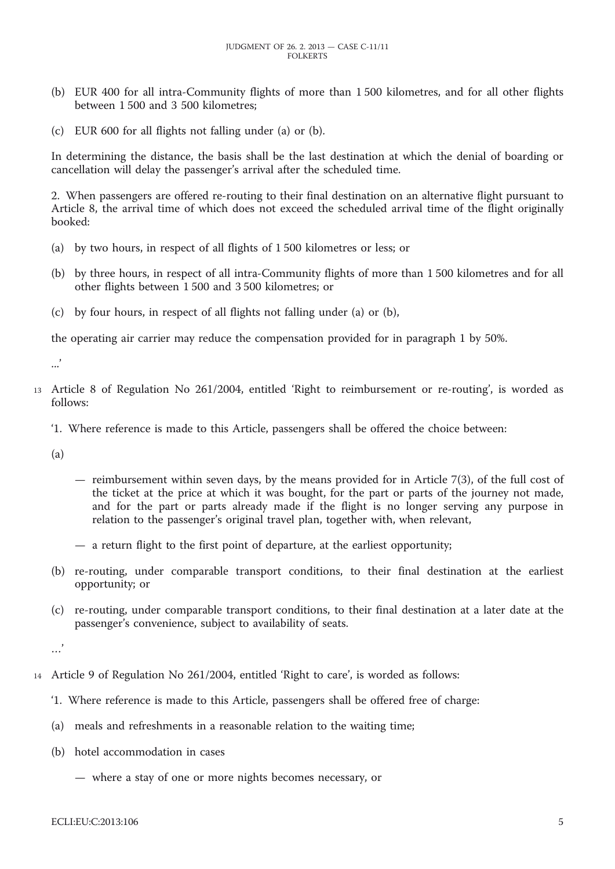- (b) EUR 400 for all intra-Community flights of more than 1 500 kilometres, and for all other flights between 1 500 and 3 500 kilometres;
- (c) EUR 600 for all flights not falling under (a) or (b).

In determining the distance, the basis shall be the last destination at which the denial of boarding or cancellation will delay the passenger's arrival after the scheduled time.

2. When passengers are offered re-routing to their final destination on an alternative flight pursuant to Article 8, the arrival time of which does not exceed the scheduled arrival time of the flight originally booked:

- (a) by two hours, in respect of all flights of 1 500 kilometres or less; or
- (b) by three hours, in respect of all intra-Community flights of more than 1 500 kilometres and for all other flights between 1 500 and 3 500 kilometres; or
- (c) by four hours, in respect of all flights not falling under (a) or (b),

the operating air carrier may reduce the compensation provided for in paragraph 1 by 50%.

...'

- 13 Article 8 of Regulation No 261/2004, entitled 'Right to reimbursement or re-routing', is worded as follows:
	- '1. Where reference is made to this Article, passengers shall be offered the choice between:

(a)

- reimbursement within seven days, by the means provided for in Article 7(3), of the full cost of the ticket at the price at which it was bought, for the part or parts of the journey not made, and for the part or parts already made if the flight is no longer serving any purpose in relation to the passenger's original travel plan, together with, when relevant,
- a return flight to the first point of departure, at the earliest opportunity;
- (b) re-routing, under comparable transport conditions, to their final destination at the earliest opportunity; or
- (c) re-routing, under comparable transport conditions, to their final destination at a later date at the passenger's convenience, subject to availability of seats.

…'

- 14 Article 9 of Regulation No 261/2004, entitled 'Right to care', is worded as follows:
	- '1. Where reference is made to this Article, passengers shall be offered free of charge:
	- (a) meals and refreshments in a reasonable relation to the waiting time;
	- (b) hotel accommodation in cases
		- where a stay of one or more nights becomes necessary, or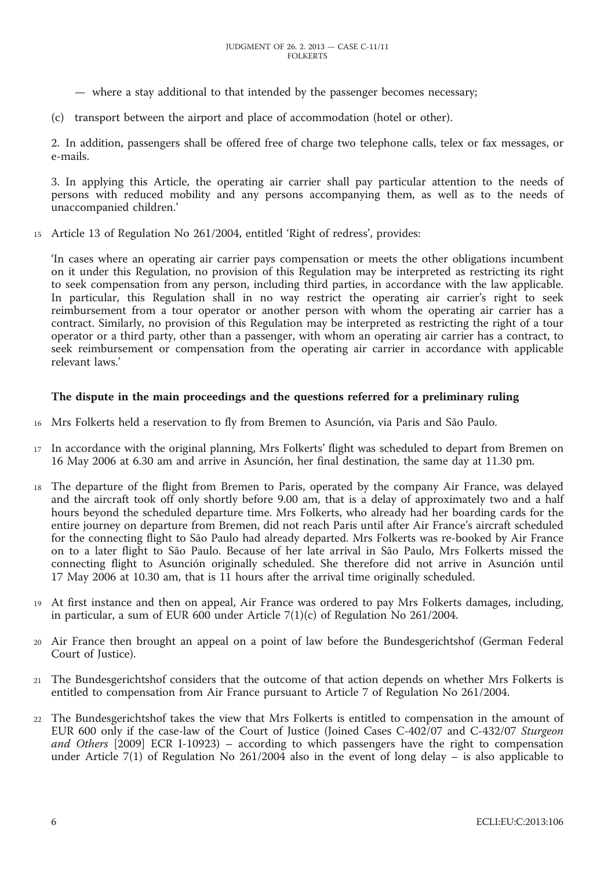- where a stay additional to that intended by the passenger becomes necessary;
- (c) transport between the airport and place of accommodation (hotel or other).

2. In addition, passengers shall be offered free of charge two telephone calls, telex or fax messages, or e-mails.

3. In applying this Article, the operating air carrier shall pay particular attention to the needs of persons with reduced mobility and any persons accompanying them, as well as to the needs of unaccompanied children.'

15 Article 13 of Regulation No 261/2004, entitled 'Right of redress', provides:

'In cases where an operating air carrier pays compensation or meets the other obligations incumbent on it under this Regulation, no provision of this Regulation may be interpreted as restricting its right to seek compensation from any person, including third parties, in accordance with the law applicable. In particular, this Regulation shall in no way restrict the operating air carrier's right to seek reimbursement from a tour operator or another person with whom the operating air carrier has a contract. Similarly, no provision of this Regulation may be interpreted as restricting the right of a tour operator or a third party, other than a passenger, with whom an operating air carrier has a contract, to seek reimbursement or compensation from the operating air carrier in accordance with applicable relevant laws.'

# **The dispute in the main proceedings and the questions referred for a preliminary ruling**

- 16 Mrs Folkerts held a reservation to fly from Bremen to Asunción, via Paris and São Paulo.
- 17 In accordance with the original planning, Mrs Folkerts' flight was scheduled to depart from Bremen on 16 May 2006 at 6.30 am and arrive in Asunción, her final destination, the same day at 11.30 pm.
- 18 The departure of the flight from Bremen to Paris, operated by the company Air France, was delayed and the aircraft took off only shortly before 9.00 am, that is a delay of approximately two and a half hours beyond the scheduled departure time. Mrs Folkerts, who already had her boarding cards for the entire journey on departure from Bremen, did not reach Paris until after Air France's aircraft scheduled for the connecting flight to São Paulo had already departed. Mrs Folkerts was re-booked by Air France on to a later flight to São Paulo. Because of her late arrival in São Paulo, Mrs Folkerts missed the connecting flight to Asunción originally scheduled. She therefore did not arrive in Asunción until 17 May 2006 at 10.30 am, that is 11 hours after the arrival time originally scheduled.
- 19 At first instance and then on appeal, Air France was ordered to pay Mrs Folkerts damages, including, in particular, a sum of EUR 600 under Article 7(1)(c) of Regulation No 261/2004.
- 20 Air France then brought an appeal on a point of law before the Bundesgerichtshof (German Federal Court of Justice).
- 21 The Bundesgerichtshof considers that the outcome of that action depends on whether Mrs Folkerts is entitled to compensation from Air France pursuant to Article 7 of Regulation No 261/2004.
- 22 The Bundesgerichtshof takes the view that Mrs Folkerts is entitled to compensation in the amount of EUR 600 only if the case-law of the Court of Justice (Joined Cases C-402/07 and C-432/07 *Sturgeon and Others* [2009] ECR I-10923) – according to which passengers have the right to compensation under Article 7(1) of Regulation No 261/2004 also in the event of long delay – is also applicable to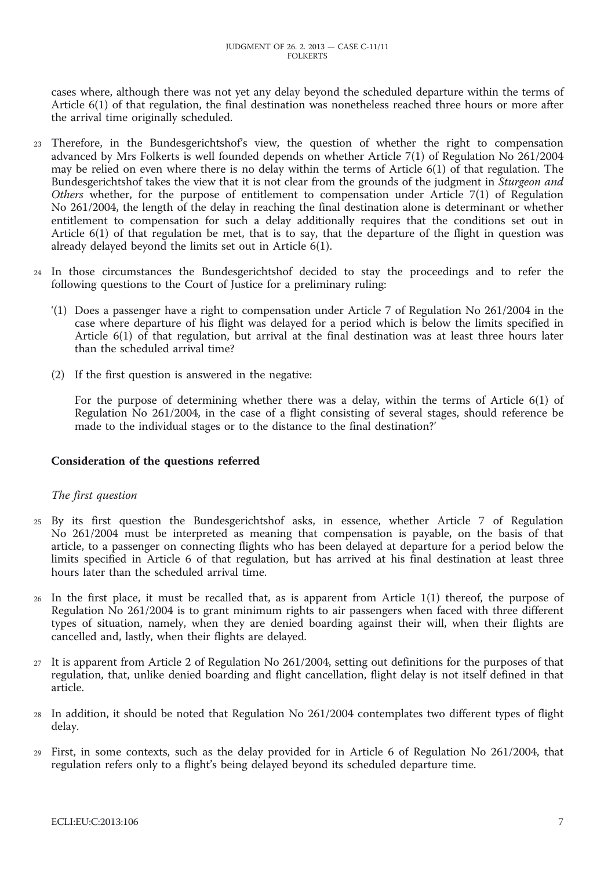cases where, although there was not yet any delay beyond the scheduled departure within the terms of Article 6(1) of that regulation, the final destination was nonetheless reached three hours or more after the arrival time originally scheduled.

- 23 Therefore, in the Bundesgerichtshof's view, the question of whether the right to compensation advanced by Mrs Folkerts is well founded depends on whether Article 7(1) of Regulation No 261/2004 may be relied on even where there is no delay within the terms of Article 6(1) of that regulation. The Bundesgerichtshof takes the view that it is not clear from the grounds of the judgment in *Sturgeon and Others* whether, for the purpose of entitlement to compensation under Article 7(1) of Regulation No 261/2004, the length of the delay in reaching the final destination alone is determinant or whether entitlement to compensation for such a delay additionally requires that the conditions set out in Article  $6(1)$  of that regulation be met, that is to say, that the departure of the flight in question was already delayed beyond the limits set out in Article 6(1).
- 24 In those circumstances the Bundesgerichtshof decided to stay the proceedings and to refer the following questions to the Court of Justice for a preliminary ruling:
	- '(1) Does a passenger have a right to compensation under Article 7 of Regulation No 261/2004 in the case where departure of his flight was delayed for a period which is below the limits specified in Article 6(1) of that regulation, but arrival at the final destination was at least three hours later than the scheduled arrival time?
	- (2) If the first question is answered in the negative:

For the purpose of determining whether there was a delay, within the terms of Article 6(1) of Regulation No 261/2004, in the case of a flight consisting of several stages, should reference be made to the individual stages or to the distance to the final destination?'

#### **Consideration of the questions referred**

#### *The first question*

- 25 By its first question the Bundesgerichtshof asks, in essence, whether Article 7 of Regulation No 261/2004 must be interpreted as meaning that compensation is payable, on the basis of that article, to a passenger on connecting flights who has been delayed at departure for a period below the limits specified in Article 6 of that regulation, but has arrived at his final destination at least three hours later than the scheduled arrival time.
- 26 In the first place, it must be recalled that, as is apparent from Article 1(1) thereof, the purpose of Regulation No 261/2004 is to grant minimum rights to air passengers when faced with three different types of situation, namely, when they are denied boarding against their will, when their flights are cancelled and, lastly, when their flights are delayed.
- 27 It is apparent from Article 2 of Regulation No 261/2004, setting out definitions for the purposes of that regulation, that, unlike denied boarding and flight cancellation, flight delay is not itself defined in that article.
- 28 In addition, it should be noted that Regulation No 261/2004 contemplates two different types of flight delay.
- 29 First, in some contexts, such as the delay provided for in Article 6 of Regulation No 261/2004, that regulation refers only to a flight's being delayed beyond its scheduled departure time.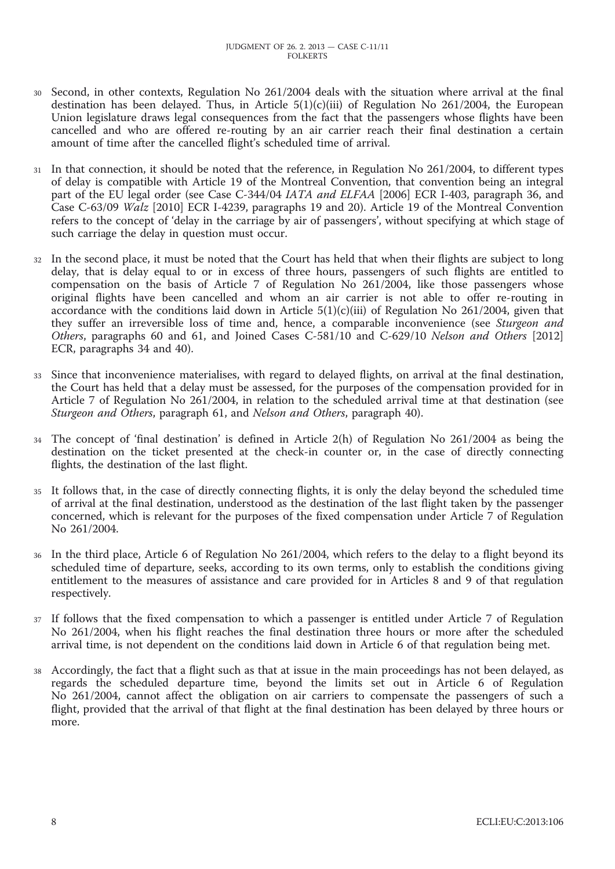- Second, in other contexts, Regulation No 261/2004 deals with the situation where arrival at the final destination has been delayed. Thus, in Article 5(1)(c)(iii) of Regulation No 261/2004, the European Union legislature draws legal consequences from the fact that the passengers whose flights have been cancelled and who are offered re-routing by an air carrier reach their final destination a certain amount of time after the cancelled flight's scheduled time of arrival.
- 31 In that connection, it should be noted that the reference, in Regulation No 261/2004, to different types of delay is compatible with Article 19 of the Montreal Convention, that convention being an integral part of the EU legal order (see Case C-344/04 *IATA and ELFAA* [2006] ECR I-403, paragraph 36, and Case C-63/09 *Walz* [2010] ECR I-4239, paragraphs 19 and 20). Article 19 of the Montreal Convention refers to the concept of 'delay in the carriage by air of passengers', without specifying at which stage of such carriage the delay in question must occur.
- 32 In the second place, it must be noted that the Court has held that when their flights are subject to long delay, that is delay equal to or in excess of three hours, passengers of such flights are entitled to compensation on the basis of Article 7 of Regulation No 261/2004, like those passengers whose original flights have been cancelled and whom an air carrier is not able to offer re-routing in accordance with the conditions laid down in Article  $5(1)(c)(iii)$  of Regulation No 261/2004, given that they suffer an irreversible loss of time and, hence, a comparable inconvenience (see *Sturgeon and Others*, paragraphs 60 and 61, and Joined Cases C-581/10 and C-629/10 *Nelson and Others* [2012] ECR, paragraphs 34 and 40).
- 33 Since that inconvenience materialises, with regard to delayed flights, on arrival at the final destination, the Court has held that a delay must be assessed, for the purposes of the compensation provided for in Article 7 of Regulation No 261/2004, in relation to the scheduled arrival time at that destination (see *Sturgeon and Others*, paragraph 61, and *Nelson and Others*, paragraph 40).
- 34 The concept of 'final destination' is defined in Article 2(h) of Regulation No 261/2004 as being the destination on the ticket presented at the check-in counter or, in the case of directly connecting flights, the destination of the last flight.
- 35 It follows that, in the case of directly connecting flights, it is only the delay beyond the scheduled time of arrival at the final destination, understood as the destination of the last flight taken by the passenger concerned, which is relevant for the purposes of the fixed compensation under Article 7 of Regulation No 261/2004.
- 36 In the third place, Article 6 of Regulation No 261/2004, which refers to the delay to a flight beyond its scheduled time of departure, seeks, according to its own terms, only to establish the conditions giving entitlement to the measures of assistance and care provided for in Articles 8 and 9 of that regulation respectively.
- 37 If follows that the fixed compensation to which a passenger is entitled under Article 7 of Regulation No 261/2004, when his flight reaches the final destination three hours or more after the scheduled arrival time, is not dependent on the conditions laid down in Article 6 of that regulation being met.
- 38 Accordingly, the fact that a flight such as that at issue in the main proceedings has not been delayed, as regards the scheduled departure time, beyond the limits set out in Article 6 of Regulation No 261/2004, cannot affect the obligation on air carriers to compensate the passengers of such a flight, provided that the arrival of that flight at the final destination has been delayed by three hours or more.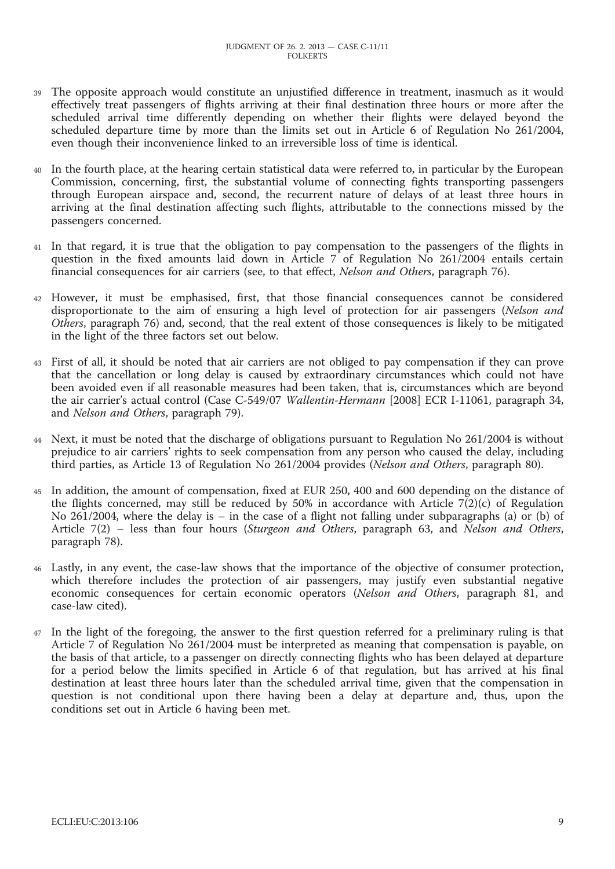- The opposite approach would constitute an unjustified difference in treatment, inasmuch as it would effectively treat passengers of flights arriving at their final destination three hours or more after the scheduled arrival time differently depending on whether their flights were delayed beyond the scheduled departure time by more than the limits set out in Article 6 of Regulation No 261/2004, even though their inconvenience linked to an irreversible loss of time is identical.
- 40 In the fourth place, at the hearing certain statistical data were referred to, in particular by the European Commission, concerning, first, the substantial volume of connecting fights transporting passengers through European airspace and, second, the recurrent nature of delays of at least three hours in arriving at the final destination affecting such flights, attributable to the connections missed by the passengers concerned.
- 41 In that regard, it is true that the obligation to pay compensation to the passengers of the flights in question in the fixed amounts laid down in Article 7 of Regulation No 261/2004 entails certain financial consequences for air carriers (see, to that effect, *Nelson and Others*, paragraph 76).
- 42 However, it must be emphasised, first, that those financial consequences cannot be considered disproportionate to the aim of ensuring a high level of protection for air passengers (*Nelson and Others*, paragraph 76) and, second, that the real extent of those consequences is likely to be mitigated in the light of the three factors set out below.
- 43 First of all, it should be noted that air carriers are not obliged to pay compensation if they can prove that the cancellation or long delay is caused by extraordinary circumstances which could not have been avoided even if all reasonable measures had been taken, that is, circumstances which are beyond the air carrier's actual control (Case C-549/07 *Wallentin-Hermann* [2008] ECR I-11061, paragraph 34, and *Nelson and Others*, paragraph 79).
- 44 Next, it must be noted that the discharge of obligations pursuant to Regulation No 261/2004 is without prejudice to air carriers' rights to seek compensation from any person who caused the delay, including third parties, as Article 13 of Regulation No 261/2004 provides (*Nelson and Others*, paragraph 80).
- 45 In addition, the amount of compensation, fixed at EUR 250, 400 and 600 depending on the distance of the flights concerned, may still be reduced by 50% in accordance with Article  $7(2)(c)$  of Regulation No 261/2004, where the delay is – in the case of a flight not falling under subparagraphs (a) or (b) of Article 7(2) – less than four hours (*Sturgeon and Others*, paragraph 63, and *Nelson and Others*, paragraph 78).
- 46 Lastly, in any event, the case-law shows that the importance of the objective of consumer protection, which therefore includes the protection of air passengers, may justify even substantial negative economic consequences for certain economic operators (*Nelson and Others*, paragraph 81, and case-law cited).
- 47 In the light of the foregoing, the answer to the first question referred for a preliminary ruling is that Article 7 of Regulation No 261/2004 must be interpreted as meaning that compensation is payable, on the basis of that article, to a passenger on directly connecting flights who has been delayed at departure for a period below the limits specified in Article 6 of that regulation, but has arrived at his final destination at least three hours later than the scheduled arrival time, given that the compensation in question is not conditional upon there having been a delay at departure and, thus, upon the conditions set out in Article 6 having been met.